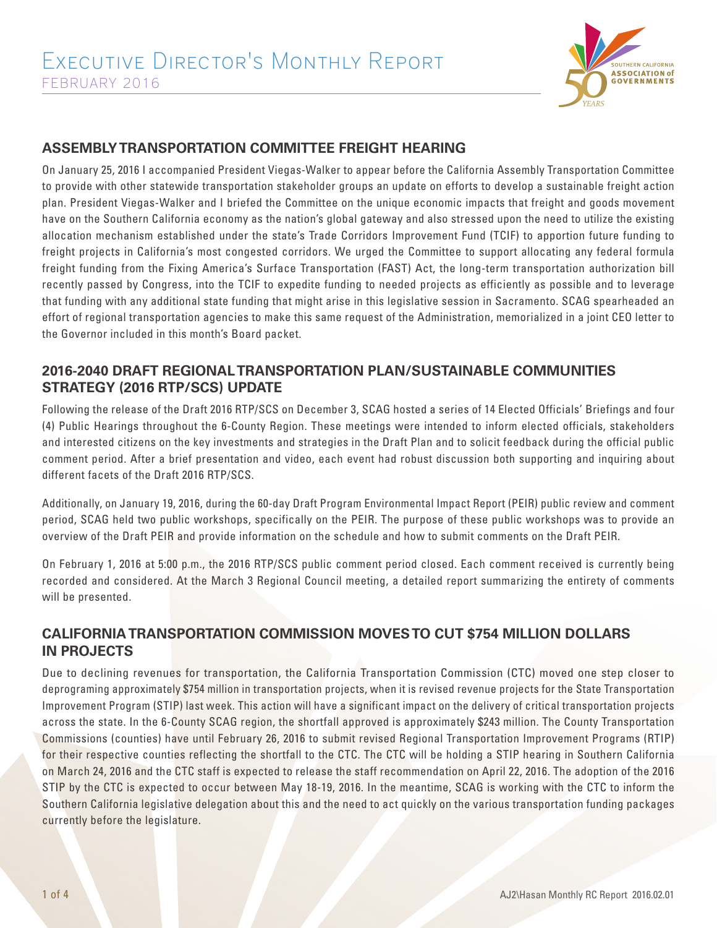

### **ASSEMBLY TRANSPORTATION COMMITTEE FREIGHT HEARING**

On January 25, 2016 I accompanied President Viegas-Walker to appear before the California Assembly Transportation Committee to provide with other statewide transportation stakeholder groups an update on efforts to develop a sustainable freight action plan. President Viegas-Walker and I briefed the Committee on the unique economic impacts that freight and goods movement have on the Southern California economy as the nation's global gateway and also stressed upon the need to utilize the existing allocation mechanism established under the state's Trade Corridors Improvement Fund (TCIF) to apportion future funding to freight projects in California's most congested corridors. We urged the Committee to support allocating any federal formula freight funding from the Fixing America's Surface Transportation (FAST) Act, the long-term transportation authorization bill recently passed by Congress, into the TCIF to expedite funding to needed projects as efficiently as possible and to leverage that funding with any additional state funding that might arise in this legislative session in Sacramento. SCAG spearheaded an effort of regional transportation agencies to make this same request of the Administration, memorialized in a joint CEO letter to the Governor included in this month's Board packet.

#### **2016-2040 DRAFT REGIONAL TRANSPORTATION PLAN/SUSTAINABLE COMMUNITIES STRATEGY (2016 RTP/SCS) UPDATE**

Following the release of the Draft 2016 RTP/SCS on December 3, SCAG hosted a series of 14 Elected Officials' Briefings and four (4) Public Hearings throughout the 6-County Region. These meetings were intended to inform elected officials, stakeholders and interested citizens on the key investments and strategies in the Draft Plan and to solicit feedback during the official public comment period. After a brief presentation and video, each event had robust discussion both supporting and inquiring about different facets of the Draft 2016 RTP/SCS.

Additionally, on January 19, 2016, during the 60-day Draft Program Environmental Impact Report (PEIR) public review and comment period, SCAG held two public workshops, specifically on the PEIR. The purpose of these public workshops was to provide an overview of the Draft PEIR and provide information on the schedule and how to submit comments on the Draft PEIR.

On February 1, 2016 at 5:00 p.m., the 2016 RTP/SCS public comment period closed. Each comment received is currently being recorded and considered. At the March 3 Regional Council meeting, a detailed report summarizing the entirety of comments will be presented.

## **CALIFORNIA TRANSPORTATION COMMISSION MOVES TO CUT \$754 MILLION DOLLARS IN PROJECTS**

Due to declining revenues for transportation, the California Transportation Commission (CTC) moved one step closer to deprograming approximately \$754 million in transportation projects, when it is revised revenue projects for the State Transportation Improvement Program (STIP) last week. This action will have a significant impact on the delivery of critical transportation projects across the state. In the 6-County SCAG region, the shortfall approved is approximately \$243 million. The County Transportation Commissions (counties) have until February 26, 2016 to submit revised Regional Transportation Improvement Programs (RTIP) for their respective counties reflecting the shortfall to the CTC. The CTC will be holding a STIP hearing in Southern California on March 24, 2016 and the CTC staff is expected to release the staff recommendation on April 22, 2016. The adoption of the 2016 STIP by the CTC is expected to occur between May 18-19, 2016. In the meantime, SCAG is working with the CTC to inform the Southern California legislative delegation about this and the need to act quickly on the various transportation funding packages currently before the legislature.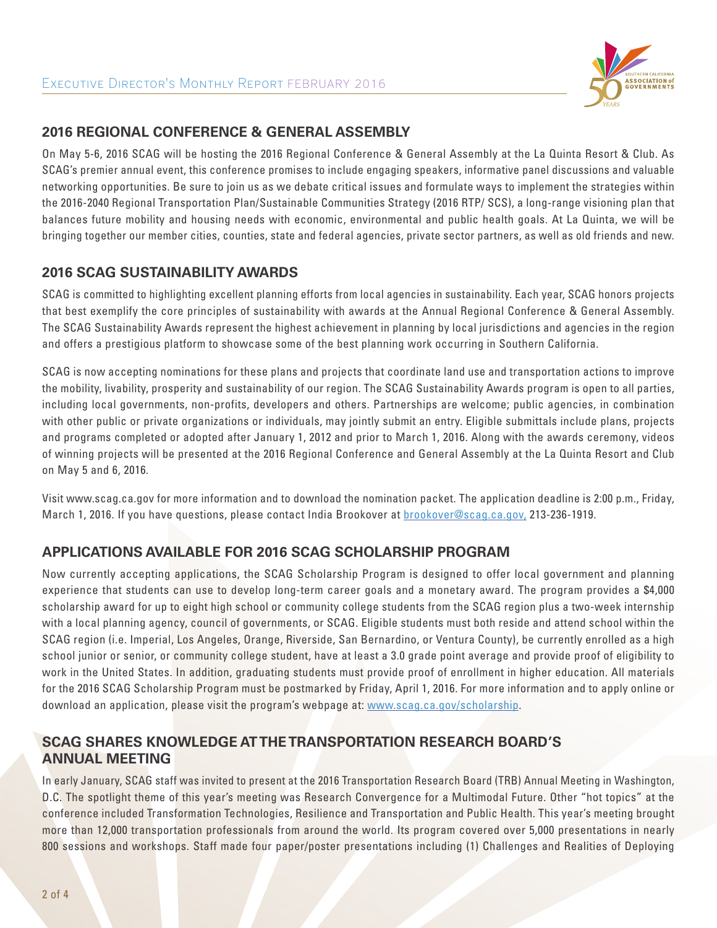

#### **2016 REGIONAL CONFERENCE & GENERAL ASSEMBLY**

On May 5-6, 2016 SCAG will be hosting the 2016 Regional Conference & General Assembly at the La Quinta Resort & Club. As SCAG's premier annual event, this conference promises to include engaging speakers, informative panel discussions and valuable networking opportunities. Be sure to join us as we debate critical issues and formulate ways to implement the strategies within the 2016-2040 Regional Transportation Plan/Sustainable Communities Strategy (2016 RTP/ SCS), a long-range visioning plan that balances future mobility and housing needs with economic, environmental and public health goals. At La Quinta, we will be bringing together our member cities, counties, state and federal agencies, private sector partners, as well as old friends and new.

#### **2016 SCAG SUSTAINABILITY AWARDS**

SCAG is committed to highlighting excellent planning efforts from local agencies in sustainability. Each year, SCAG honors projects that best exemplify the core principles of sustainability with awards at the Annual Regional Conference & General Assembly. The SCAG Sustainability Awards represent the highest achievement in planning by local jurisdictions and agencies in the region and offers a prestigious platform to showcase some of the best planning work occurring in Southern California.

SCAG is now accepting nominations for these plans and projects that coordinate land use and transportation actions to improve the mobility, livability, prosperity and sustainability of our region. The SCAG Sustainability Awards program is open to all parties, including local governments, non-profits, developers and others. Partnerships are welcome; public agencies, in combination with other public or private organizations or individuals, may jointly submit an entry. Eligible submittals include plans, projects and programs completed or adopted after January 1, 2012 and prior to March 1, 2016. Along with the awards ceremony, videos of winning projects will be presented at the 2016 Regional Conference and General Assembly at the La Quinta Resort and Club on May 5 and 6, 2016.

Visit www.scag.ca.gov for more information and to download the nomination packet. The application deadline is 2:00 p.m., Friday, March 1, 2016. If you have questions, please contact India Brookover at brookover@scag.ca.gov, 213-236-1919.

### **APPLICATIONS AVAILABLE FOR 2016 SCAG SCHOLARSHIP PROGRAM**

Now currently accepting applications, the SCAG Scholarship Program is designed to offer local government and planning experience that students can use to develop long-term career goals and a monetary award. The program provides a \$4,000 scholarship award for up to eight high school or community college students from the SCAG region plus a two-week internship with a local planning agency, council of governments, or SCAG. Eligible students must both reside and attend school within the SCAG region (i.e. Imperial, Los Angeles, Orange, Riverside, San Bernardino, or Ventura County), be currently enrolled as a high school junior or senior, or community college student, have at least a 3.0 grade point average and provide proof of eligibility to work in the United States. In addition, graduating students must provide proof of enrollment in higher education. All materials for the 2016 SCAG Scholarship Program must be postmarked by Friday, April 1, 2016. For more information and to apply online or download an application, please visit the program's webpage at: www.scag.ca.gov/scholarship.

### **SCAG SHARES KNOWLEDGE AT THE TRANSPORTATION RESEARCH BOARD'S ANNUAL MEETING**

In early January, SCAG staff was invited to present at the 2016 Transportation Research Board (TRB) Annual Meeting in Washington, D.C. The spotlight theme of this year's meeting was Research Convergence for a Multimodal Future. Other "hot topics" at the conference included Transformation Technologies, Resilience and Transportation and Public Health. This year's meeting brought more than 12,000 transportation professionals from around the world. Its program covered over 5,000 presentations in nearly 800 sessions and workshops. Staff made four paper/poster presentations including (1) Challenges and Realities of Deploying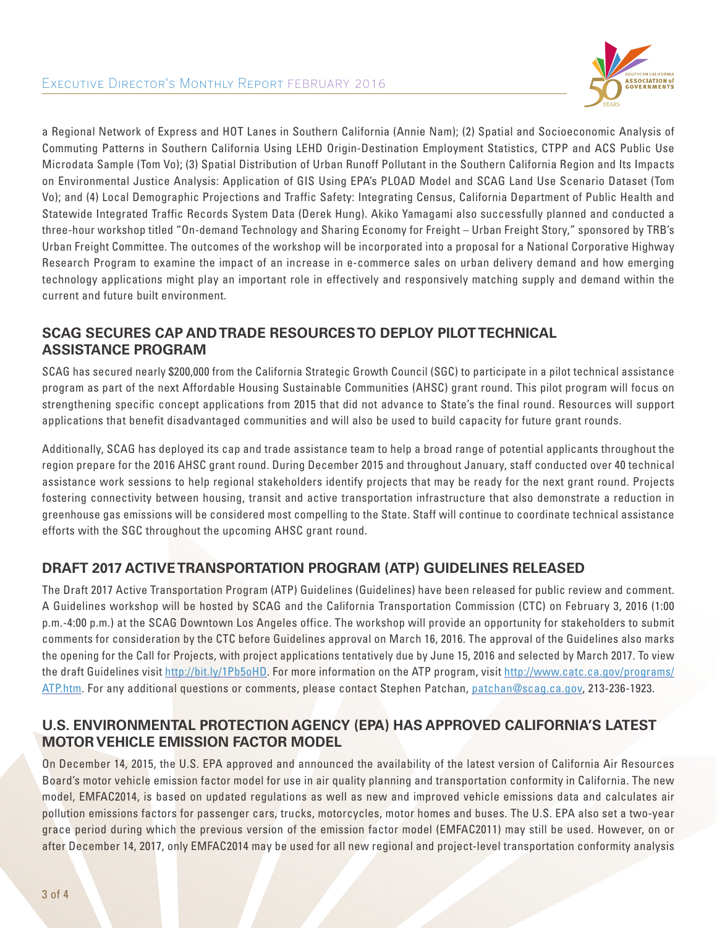

a Regional Network of Express and HOT Lanes in Southern California (Annie Nam); (2) Spatial and Socioeconomic Analysis of Commuting Patterns in Southern California Using LEHD Origin-Destination Employment Statistics, CTPP and ACS Public Use Microdata Sample (Tom Vo); (3) Spatial Distribution of Urban Runoff Pollutant in the Southern California Region and Its Impacts on Environmental Justice Analysis: Application of GIS Using EPA's PLOAD Model and SCAG Land Use Scenario Dataset (Tom Vo); and (4) Local Demographic Projections and Traffic Safety: Integrating Census, California Department of Public Health and Statewide Integrated Traffic Records System Data (Derek Hung). Akiko Yamagami also successfully planned and conducted a three-hour workshop titled "On-demand Technology and Sharing Economy for Freight – Urban Freight Story," sponsored by TRB's Urban Freight Committee. The outcomes of the workshop will be incorporated into a proposal for a National Corporative Highway Research Program to examine the impact of an increase in e-commerce sales on urban delivery demand and how emerging technology applications might play an important role in effectively and responsively matching supply and demand within the current and future built environment.

# **SCAG SECURES CAP AND TRADE RESOURCES TO DEPLOY PILOT TECHNICAL ASSISTANCE PROGRAM**

SCAG has secured nearly \$200,000 from the California Strategic Growth Council (SGC) to participate in a pilot technical assistance program as part of the next Affordable Housing Sustainable Communities (AHSC) grant round. This pilot program will focus on strengthening specific concept applications from 2015 that did not advance to State's the final round. Resources will support applications that benefit disadvantaged communities and will also be used to build capacity for future grant rounds.

Additionally, SCAG has deployed its cap and trade assistance team to help a broad range of potential applicants throughout the region prepare for the 2016 AHSC grant round. During December 2015 and throughout January, staff conducted over 40 technical assistance work sessions to help regional stakeholders identify projects that may be ready for the next grant round. Projects fostering connectivity between housing, transit and active transportation infrastructure that also demonstrate a reduction in greenhouse gas emissions will be considered most compelling to the State. Staff will continue to coordinate technical assistance efforts with the SGC throughout the upcoming AHSC grant round.

### **DRAFT 2017 ACTIVE TRANSPORTATION PROGRAM (ATP) GUIDELINES RELEASED**

The Draft 2017 Active Transportation Program (ATP) Guidelines (Guidelines) have been released for public review and comment. A Guidelines workshop will be hosted by SCAG and the California Transportation Commission (CTC) on February 3, 2016 (1:00 p.m.-4:00 p.m.) at the SCAG Downtown Los Angeles office. The workshop will provide an opportunity for stakeholders to submit comments for consideration by the CTC before Guidelines approval on March 16, 2016. The approval of the Guidelines also marks the opening for the Call for Projects, with project applications tentatively due by June 15, 2016 and selected by March 2017. To view the draft Guidelines visit http://bit.ly/1Pb5oHD. For more information on the ATP program, visit http://www.catc.ca.gov/programs/ ATP.htm. For any additional questions or comments, please contact Stephen Patchan, patchan@scag.ca.gov, 213-236-1923.

## **U.S. ENVIRONMENTAL PROTECTION AGENCY (EPA) HAS APPROVED CALIFORNIA'S LATEST MOTOR VEHICLE EMISSION FACTOR MODEL**

On December 14, 2015, the U.S. EPA approved and announced the availability of the latest version of California Air Resources Board's motor vehicle emission factor model for use in air quality planning and transportation conformity in California. The new model, EMFAC2014, is based on updated regulations as well as new and improved vehicle emissions data and calculates air pollution emissions factors for passenger cars, trucks, motorcycles, motor homes and buses. The U.S. EPA also set a two-year grace period during which the previous version of the emission factor model (EMFAC2011) may still be used. However, on or after December 14, 2017, only EMFAC2014 may be used for all new regional and project-level transportation conformity analysis